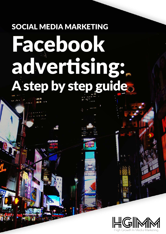# SOCIAL MEDIA MARKETING Facebook advertising: A step by step guide.

DO

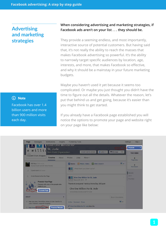## **Advertising and marketing strategies**

### (i) Note

Facebook has over 1.4 billion users and more than 900 million visits each day.

## **When considering advertising and marketing strategies, if Facebook ads aren't on your list . . . they should be.**

They provide a seeming endless, and most importantly, interactive source of potential customers. But having said that, it's not really the ability to reach the masses that makes Facebook advertising so powerful. It's the ability to narrowly target specific audiences by location, age, interests, and more, that makes Facebook so effective, and why it should be a mainstay in your future marketing budgets.

Maybe you haven't used it yet because it seems too complicated. Or maybe you just thought you didn't have the time to figure out all the details. Whatever the reason, let's put that behind us and get going, because it's easier than you might think to get started.

If you already have a Facebook page established you will notice the options to promote your page and website right on your page like below:

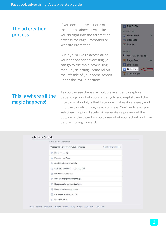|                | The ad creation |
|----------------|-----------------|
| <b>process</b> |                 |

If you decide to select one of the options above, it will take you straight into the ad creation process for Page Promotion or Website Promotion.

But if you'd like to access all of your options for advertising you can go to the main advertising menu by selecting Create Ad on the left side of your home screen under the PAGES section:



# **This is where all the magic happens!**

As you can see there are multiple avenues to explore depending on what you are trying to accomplish. And the nice thing about it, is that Facebook makes it very easy and intuitive to walk through each process. You'll notice as you select each option Facebook generates a preview at the bottom of the page for you to see what your ad will look like before moving forward.

| STEP 1: CREATE YOUR CAMPAIGN                                          |
|-----------------------------------------------------------------------|
| Choose the objective for your campaign<br>Help: Choosing an Objective |
| Boost your posts<br>临                                                 |
| Promote your Page                                                     |
| Send people to your website<br>斛                                      |
| Increase conversions on your website<br>自治                            |
| Get installs of your app<br>53                                        |
| Increase engagement in your app<br><b>SP</b>                          |
| Reach people near your business<br>Я.                                 |
| Raise attendance at your event<br>虱                                   |
| Get people to claim your offer<br>e                                   |
| <b>EXICE Cet video views</b>                                          |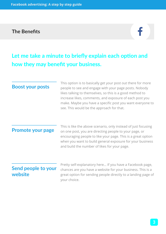# **The Benefits**



# **Let me take a minute to briefly explain each option and how they may benefit your business.**

| <b>Boost your posts</b>        | This option is to basically get your post out there for more<br>people to see and engage with your page posts. Nobody<br>likes talking to themselves, so this is a good method to<br>increase likes, comments, and exposure of each post you<br>make. Maybe you have a specific post you want everyone to<br>see. This would be the approach for that. |
|--------------------------------|--------------------------------------------------------------------------------------------------------------------------------------------------------------------------------------------------------------------------------------------------------------------------------------------------------------------------------------------------------|
| <b>Promote your page</b>       | This is like the above scenario, only instead of just focusing<br>on one post, you are directing people to your page, or<br>encouraging people to like your page. This is a great option<br>when you want to build general exposure for your business<br>and build the number of likes for your page.                                                  |
| Send people to your<br>website | Pretty self-explanatory here If you have a Facebook page,<br>chances are you have a website for your business. This is a<br>great option for sending people directly to a landing page of<br>your choice.                                                                                                                                              |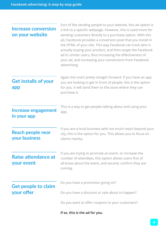| <b>Increase conversion</b><br>on your website | Sort of like sending people to your website, this ad option is<br>a link to a specific webpage. However, this is used more for<br>sending customers directly to a purchase option. With this<br>ad, Facebook provides a conversion pixel that you install in<br>the HTML of your site. This way Facebook can track who is<br>actually buying your product, and then target the Facebook<br>ad to similar users, thus increasing the effectiveness of<br>your ad, and increasing your conversions from Facebook<br>advertising. |
|-----------------------------------------------|--------------------------------------------------------------------------------------------------------------------------------------------------------------------------------------------------------------------------------------------------------------------------------------------------------------------------------------------------------------------------------------------------------------------------------------------------------------------------------------------------------------------------------|
| <b>Get installs of your</b><br>app            | Again this one's pretty straight forward. If you have an app<br>you are looking to get in front of people, this is the option<br>for you. It will send them to the store where they can<br>purchase it.                                                                                                                                                                                                                                                                                                                        |
| <b>Increase engagement</b><br>in your app     | This is a way to get people talking about and using your<br>app.                                                                                                                                                                                                                                                                                                                                                                                                                                                               |
| <b>Reach people near</b><br>your business     | If you are a local business with not much reach beyond your<br>city, this is the option for you. This allows you to focus on<br>clients nearby.                                                                                                                                                                                                                                                                                                                                                                                |
| Raise attendance at<br>your event             | If you are trying to promote an event, or increase the<br>number of attendees, this option allows users first of<br>all know about the event, and second, confirm they are<br>coming.                                                                                                                                                                                                                                                                                                                                          |
| <b>Get people to claim</b>                    | Do you have a promotion going on?                                                                                                                                                                                                                                                                                                                                                                                                                                                                                              |
| your offer                                    | Do you have a discount or sale about to happen?                                                                                                                                                                                                                                                                                                                                                                                                                                                                                |
|                                               | Do you want to offer coupons to your customers?                                                                                                                                                                                                                                                                                                                                                                                                                                                                                |
|                                               | If so, this is the ad for you.                                                                                                                                                                                                                                                                                                                                                                                                                                                                                                 |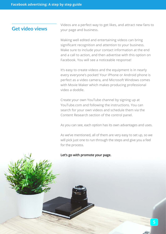## **Get video views**

Videos are a perfect way to get likes, and attract new fans to your page and business.

Making well edited and entertaining videos can bring significant recognition and attention to your business. Make sure to include your contact information at the end and a call to action, and then advertise with this option on Facebook. You will see a noticeable response!

It's easy to create videos and the equipment is in nearly every everyone's pocket! Your iPhone or Android phone is perfect as a video camera, and Microsoft Windows comes with Movie Maker which makes producing professional video a doddle.

Create your own YouTube channel by signing up at YouTube.com and following the instructions. You can search for your own videos and schedule them via the Content Research section of the control panel.

As you can see, each option has its own advantages and uses.

As we've mentioned, all of them are very easy to set up, so we will pick just one to run through the steps and give you a feel for the process.

#### **Let's go with promote your page.**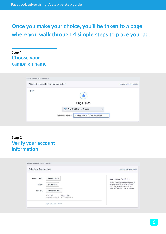# **Once you make your choice, you'll be taken to a page where you walk through 4 simple steps to place your ad.**

## **Step 1 Choose your campaign name**



## **Step 2 Verify your account information**

|                              |                                                                  | Help: Ad Account Overview                                                                                                |
|------------------------------|------------------------------------------------------------------|--------------------------------------------------------------------------------------------------------------------------|
| <b>Account Country</b>       | United States +                                                  | Currency and Time Zone<br>All your ads billing and reporting data will                                                   |
| Currency<br><b>Time Zone</b> | US Dollars 4<br>America/Denver 4                                 | be recorded in this currency and time<br>zone. To change these in the future,<br>you'll need to create a new ad account. |
|                              | UTC TIME<br>LOCAL TIME<br>06/08/2015 4:54AM<br>06/07/2015 9:54PM |                                                                                                                          |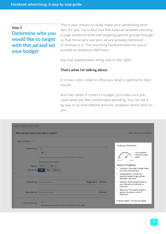#### **Step 3**

## **Determine who you would like to target with this ad and set your budget**

This is your chance to really make your advertising work best for you. Try to find that fine balance between reaching a large audience while still targeting specific groups enough so that those who see your ad are actually interested in clicking on it. The nice thing Facebook does for you is provide an Audience Definition.

See that speedometer thing over to the right?

#### **That's what I'm talking about.**

It is even color coded to show you what is optimal for best results.

And then when it comes to budget, just make sure you input what you feel comfortable spending. You can set it by day or by total lifetime amount, whatever works best for you.

|                                      | Who do you want your ads to reach?                                      |                           | Help: Choose Your Audience                                                                         |
|--------------------------------------|-------------------------------------------------------------------------|---------------------------|----------------------------------------------------------------------------------------------------|
| <b>NEW AUDIENCE</b><br>$\rightarrow$ |                                                                         |                           |                                                                                                    |
| Locations @                          | C.<br>All C<br>Add a country, state/province, city, ZIP, DMA or address |                           | <b>Audience Definition</b><br>Your audience<br>selection is fairly<br>broad.                       |
| Age @                                | Everyone in this location -<br>$18 -$<br>$65+ -$                        |                           | Broad<br>Specific<br><b>Types of Targeting</b>                                                     |
| Gender @                             | Women<br>All<br>Men                                                     |                           | Locations: Show ads in areas where<br>$\ddot{\phantom{1}}$<br>you want to do business.             |
| O.                                   |                                                                         |                           | Demographics: Choose your<br>$\bullet$ :<br>audience based on age, gender,<br>education, and more. |
|                                      | Search interests                                                        | <b>Suggestions Browse</b> | Interests: Reach peopel based on<br>$\bullet$<br>their interests and activities on<br>Facebook.    |
| Interests @                          |                                                                         |                           |                                                                                                    |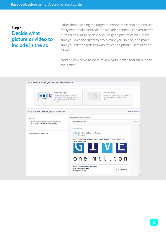## **Step 4 Decide what picture or video to include in the ad**

Other than deciding the target audience, these two options are really what make or break the ad. Video tends to convert better, but there's a lot to be said about a good picture as well. Make sure you own the rights to any picture you upload, and make sure you edit the pictures with tablet and phone users in mind as well.

Now all you have to do is review your order and then Place the order!